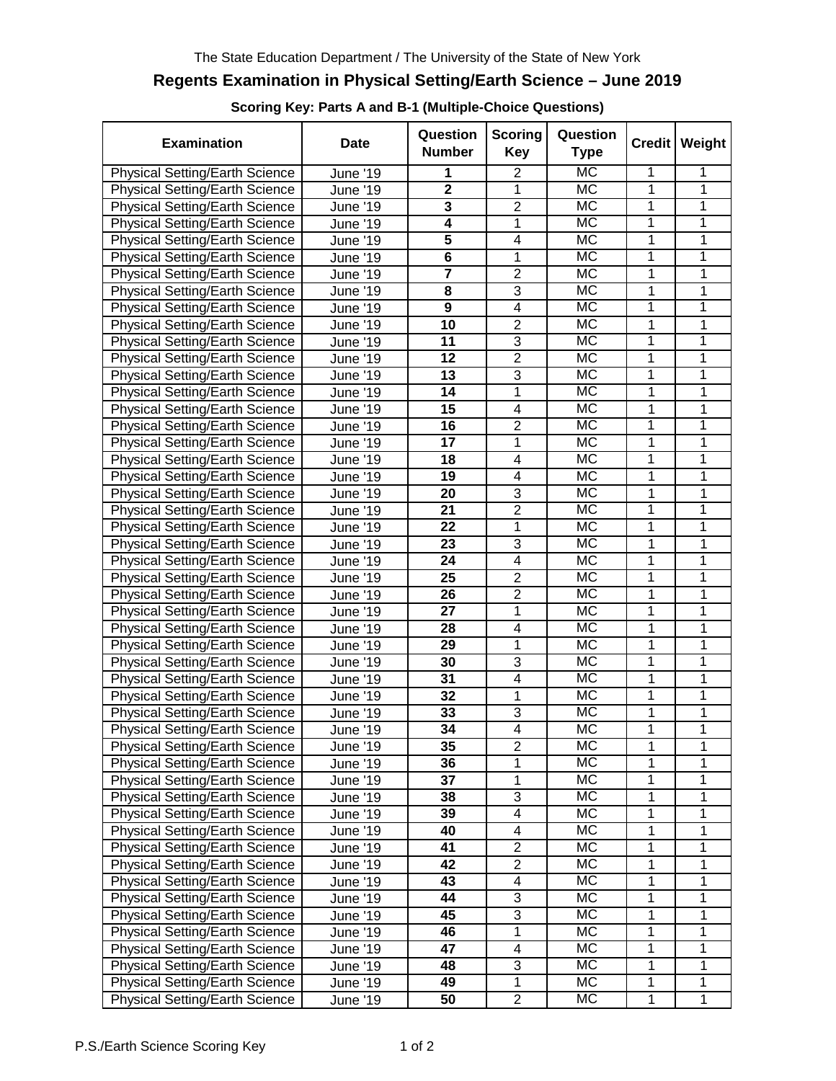## **Regents Examination in Physical Setting/Earth Science – June 2019**

**Scoring Key: Parts A and B-1 (Multiple-Choice Questions)**

| <b>Examination</b>                    | <b>Date</b>            | Question<br><b>Number</b> | <b>Scoring</b><br>Key   | Question<br>Type       |                | Credit   Weight |
|---------------------------------------|------------------------|---------------------------|-------------------------|------------------------|----------------|-----------------|
| Physical Setting/Earth Science        | June '19               | 1                         | $\overline{2}$          | <b>MC</b>              | 1              | 1               |
| <b>Physical Setting/Earth Science</b> | June '19               | $\overline{2}$            | 1                       | <b>MC</b>              | 1              | 1               |
| Physical Setting/Earth Science        | June '19               | 3                         | $\overline{2}$          | MC                     | 1              | 1               |
| <b>Physical Setting/Earth Science</b> | June '19               | $\overline{\mathbf{4}}$   | 1                       | MC                     | 1              | 1               |
| Physical Setting/Earth Science        | June '19               | $\overline{\mathbf{5}}$   | $\overline{\mathbf{4}}$ | <b>MC</b>              | 1              | 1               |
| Physical Setting/Earth Science        | <b>June '19</b>        | 6                         | 1                       | <b>MC</b>              | 1              | 1               |
| <b>Physical Setting/Earth Science</b> | June '19               | $\overline{7}$            | $\overline{2}$          | <b>MC</b>              | 1              | 1               |
| Physical Setting/Earth Science        | June '19               | 8                         | 3                       | <b>MC</b>              | 1              | 1               |
| <b>Physical Setting/Earth Science</b> | June '19               | $\boldsymbol{9}$          | $\overline{4}$          | <b>MC</b>              | 1              | 1               |
| Physical Setting/Earth Science        | June '19               | 10                        | $\overline{2}$          | $\overline{\text{MC}}$ | 1              | 1               |
| Physical Setting/Earth Science        | June '19               | 11                        | $\overline{3}$          | $\overline{\text{MC}}$ | $\overline{1}$ | $\overline{1}$  |
| <b>Physical Setting/Earth Science</b> | June '19               | 12                        | $\overline{2}$          | MC                     | 1              | $\overline{1}$  |
| <b>Physical Setting/Earth Science</b> | June '19               | 13                        | $\overline{3}$          | MC                     | 1              | $\overline{1}$  |
| <b>Physical Setting/Earth Science</b> | <b>June '19</b>        | 14                        | 1                       | MC                     | 1              | 1               |
| <b>Physical Setting/Earth Science</b> | June '19               | 15                        | $\overline{\mathbf{4}}$ | $\overline{\text{MC}}$ | 1              | 1               |
| <b>Physical Setting/Earth Science</b> | <b>June '19</b>        | 16                        | $\overline{2}$          | <b>MC</b>              | 1              | 1               |
| <b>Physical Setting/Earth Science</b> | June '19               | 17                        | 1                       | MC                     | 1              | 1               |
| <b>Physical Setting/Earth Science</b> | June '19               | 18                        | 4                       | $\overline{\text{MC}}$ | 1              | 1               |
| <b>Physical Setting/Earth Science</b> | June '19               | 19                        | $\overline{4}$          | MC                     | 1              | 1               |
| <b>Physical Setting/Earth Science</b> | June '19               | 20                        | 3                       | MC                     | 1              | 1               |
| Physical Setting/Earth Science        | June '19               | 21                        | $\overline{2}$          | MC                     | 1              | 1               |
| <b>Physical Setting/Earth Science</b> | <b>June '19</b>        | 22                        | 1                       | MC                     | 1              | 1               |
| Physical Setting/Earth Science        | June '19               | 23                        | 3                       | <b>MC</b>              | 1              | 1               |
| <b>Physical Setting/Earth Science</b> | June '19               | 24                        | 4                       | MC                     | 1              | 1               |
| Physical Setting/Earth Science        | June '19               | 25                        | $\overline{2}$          | <b>MC</b>              | 1              | 1               |
| Physical Setting/Earth Science        | June '19               | 26                        | $\overline{2}$          | <b>MC</b>              | 1              | 1               |
| Physical Setting/Earth Science        | June '19               | 27                        | 1                       | <b>MC</b>              | 1              | $\overline{1}$  |
| <b>Physical Setting/Earth Science</b> | June ' $1\overline{9}$ | 28                        | $\overline{4}$          | <b>MC</b>              | 1              | $\overline{1}$  |
| <b>Physical Setting/Earth Science</b> | June '19               | 29                        | 1                       | <b>MC</b>              | 1              | $\overline{1}$  |
| Physical Setting/Earth Science        | June '19               | 30                        | $\overline{3}$          | <b>MC</b>              | 1              | $\overline{1}$  |
| Physical Setting/Earth Science        | June '19               | 31                        | $\overline{4}$          | <b>MC</b>              | 1              | 1               |
| Physical Setting/Earth Science        | June '19               | 32                        | 1                       | MC                     | 1              | 1               |
| <b>Physical Setting/Earth Science</b> | June '19               | 33                        | $\overline{3}$          | <b>MC</b>              | 1              | 1               |
| Physical Setting/Earth Science        | June ' $19$            | 34                        | $\overline{4}$          | <b>MC</b>              | 1              | 1               |
| <b>Physical Setting/Earth Science</b> | June '19               | 35                        | $\overline{2}$          | МC                     | 1              | 1               |
| Physical Setting/Earth Science        | June '19               | 36                        | 1                       | <b>MC</b>              | 1              | 1               |
| <b>Physical Setting/Earth Science</b> | June '19               | 37                        | 1                       | <b>MC</b>              | 1              | 1               |
| Physical Setting/Earth Science        | June '19               | 38                        | 3                       | <b>MC</b>              | 1              | 1               |
| Physical Setting/Earth Science        | <b>June '19</b>        | 39                        | $\overline{4}$          | <b>MC</b>              | 1              | $\overline{1}$  |
| Physical Setting/Earth Science        | <b>June '19</b>        | 40                        | 4                       | MC                     | 1              | 1               |
| Physical Setting/Earth Science        | June '19               | 41                        | $\overline{2}$          | MC                     | 1              | 1               |
| Physical Setting/Earth Science        | June '19               | 42                        | $\overline{2}$          | <b>MC</b>              | 1              | 1               |
| Physical Setting/Earth Science        | June '19               | 43                        | 4                       | MC                     | 1              | 1               |
| <b>Physical Setting/Earth Science</b> | June '19               | 44                        | $\overline{3}$          | $\overline{\text{MC}}$ | 1              | $\overline{1}$  |
| <b>Physical Setting/Earth Science</b> | June '19               | 45                        | $\overline{3}$          | МC                     | 1              | 1               |
| Physical Setting/Earth Science        | June '19               | 46                        | 1                       | МC                     | 1              | 1               |
| <b>Physical Setting/Earth Science</b> | <b>June '19</b>        | 47                        | 4                       | МC                     | 1              | $\mathbf{1}$    |
| <b>Physical Setting/Earth Science</b> | June '19               | 48                        | 3                       | МC                     | 1              | 1               |
| <b>Physical Setting/Earth Science</b> | June '19               | 49                        | 1                       | МC                     | 1              | 1               |
| <b>Physical Setting/Earth Science</b> | June '19               | 50                        | $\overline{2}$          | MC                     | 1              | $\mathbf 1$     |